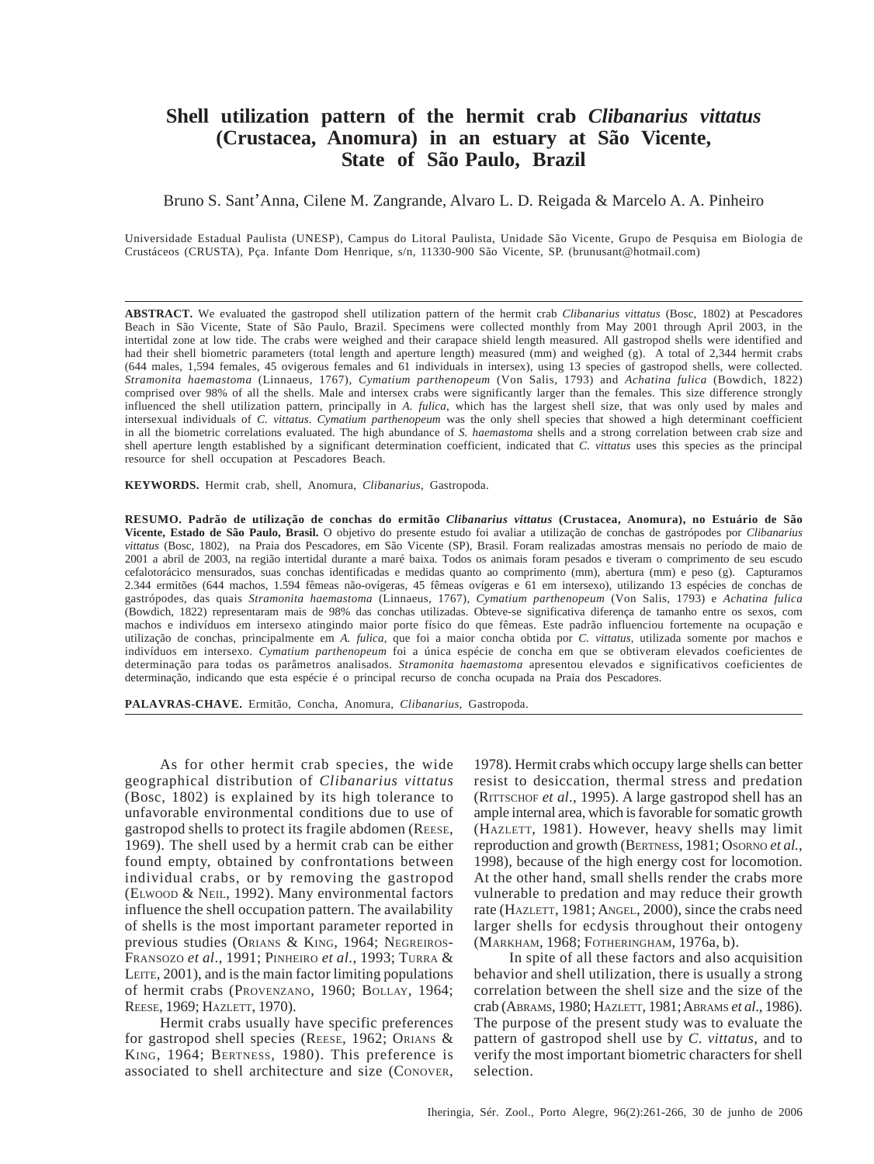# **Shell utilization pattern of the hermit crab** *Clibanarius vittatus* **(Crustacea, Anomura) in an estuary at São Vicente, State of São Paulo, Brazil**

# Bruno S. Sant'Anna, Cilene M. Zangrande, Alvaro L. D. Reigada & Marcelo A. A. Pinheiro

Universidade Estadual Paulista (UNESP), Campus do Litoral Paulista, Unidade São Vicente, Grupo de Pesquisa em Biologia de Crustáceos (CRUSTA), Pça. Infante Dom Henrique, s/n, 11330-900 São Vicente, SP. (brunusant@hotmail.com)

**ABSTRACT.** We evaluated the gastropod shell utilization pattern of the hermit crab *Clibanarius vittatus* (Bosc, 1802) at Pescadores Beach in São Vicente, State of São Paulo, Brazil. Specimens were collected monthly from May 2001 through April 2003, in the intertidal zone at low tide. The crabs were weighed and their carapace shield length measured. All gastropod shells were identified and had their shell biometric parameters (total length and aperture length) measured (mm) and weighed (g). A total of 2,344 hermit crabs (644 males, 1,594 females, 45 ovigerous females and 61 individuals in intersex), using 13 species of gastropod shells, were collected. *Stramonita haemastoma* (Linnaeus, 1767), *Cymatium parthenopeum* (Von Salis, 1793) and *Achatina fulica* (Bowdich, 1822) comprised over 98% of all the shells. Male and intersex crabs were significantly larger than the females. This size difference strongly influenced the shell utilization pattern, principally in *A. fulica*, which has the largest shell size, that was only used by males and intersexual individuals of *C. vittatus*. *Cymatium parthenopeum* was the only shell species that showed a high determinant coefficient in all the biometric correlations evaluated. The high abundance of *S. haemastoma* shells and a strong correlation between crab size and shell aperture length established by a significant determination coefficient, indicated that *C. vittatus* uses this species as the principal resource for shell occupation at Pescadores Beach.

**KEYWORDS.** Hermit crab, shell, Anomura, *Clibanarius*, Gastropoda.

**RESUMO. Padrão de utilização de conchas do ermitão** *Clibanarius vittatus* **(Crustacea, Anomura), no Estuário de São Vicente, Estado de São Paulo, Brasil.** O objetivo do presente estudo foi avaliar a utilização de conchas de gastrópodes por *Clibanarius vittatus* (Bosc, 1802), na Praia dos Pescadores, em São Vicente (SP), Brasil. Foram realizadas amostras mensais no período de maio de 2001 a abril de 2003, na região intertidal durante a maré baixa. Todos os animais foram pesados e tiveram o comprimento de seu escudo cefalotorácico mensurados, suas conchas identificadas e medidas quanto ao comprimento (mm), abertura (mm) e peso (g). Capturamos 2.344 ermitões (644 machos, 1.594 fêmeas não-ovígeras, 45 fêmeas ovígeras e 61 em intersexo), utilizando 13 espécies de conchas de gastrópodes, das quais *Stramonita haemastoma* (Linnaeus, 1767), *Cymatium parthenopeum* (Von Salis, 1793) e *Achatina fulica* (Bowdich, 1822) representaram mais de 98% das conchas utilizadas. Obteve-se significativa diferença de tamanho entre os sexos, com machos e indivíduos em intersexo atingindo maior porte físico do que fêmeas. Este padrão influenciou fortemente na ocupação e utilização de conchas, principalmente em *A. fulica*, que foi a maior concha obtida por *C. vittatus*, utilizada somente por machos e indivíduos em intersexo. *Cymatium parthenopeum* foi a única espécie de concha em que se obtiveram elevados coeficientes de determinação para todas os parâmetros analisados. *Stramonita haemastoma* apresentou elevados e significativos coeficientes de determinação, indicando que esta espécie é o principal recurso de concha ocupada na Praia dos Pescadores.

**PALAVRAS-CHAVE.** Ermitão, Concha, Anomura, *Clibanarius*, Gastropoda.

As for other hermit crab species, the wide geographical distribution of *Clibanarius vittatus* (Bosc, 1802) is explained by its high tolerance to unfavorable environmental conditions due to use of gastropod shells to protect its fragile abdomen (REESE, 1969). The shell used by a hermit crab can be either found empty, obtained by confrontations between individual crabs, or by removing the gastropod (ELWOOD & NEIL, 1992). Many environmental factors influence the shell occupation pattern. The availability of shells is the most important parameter reported in previous studies (ORIANS & KING, 1964; NEGREIROS-FRANSOZO *et al*., 1991; PINHEIRO *et al*., 1993; TURRA & LEITE, 2001), and is the main factor limiting populations of hermit crabs (PROVENZANO, 1960; BOLLAY, 1964; REESE, 1969; HAZLETT, 1970).

Hermit crabs usually have specific preferences for gastropod shell species (REESE, 1962; ORIANS & KING, 1964; BERTNESS, 1980). This preference is associated to shell architecture and size (CONOVER, 1978). Hermit crabs which occupy large shells can better resist to desiccation, thermal stress and predation (RITTSCHOF *et al*., 1995). A large gastropod shell has an ample internal area, which is favorable for somatic growth (HAZLETT, 1981). However, heavy shells may limit reproduction and growth (BERTNESS, 1981; OSORNO *et al.*, 1998), because of the high energy cost for locomotion. At the other hand, small shells render the crabs more vulnerable to predation and may reduce their growth rate (HAZLETT, 1981; ANGEL, 2000), since the crabs need larger shells for ecdysis throughout their ontogeny (MARKHAM, 1968; FOTHERINGHAM, 1976a, b).

In spite of all these factors and also acquisition behavior and shell utilization, there is usually a strong correlation between the shell size and the size of the crab (ABRAMS, 1980; HAZLETT, 1981; ABRAMS *et al*., 1986). The purpose of the present study was to evaluate the pattern of gastropod shell use by *C. vittatus*, and to verify the most important biometric characters for shell selection.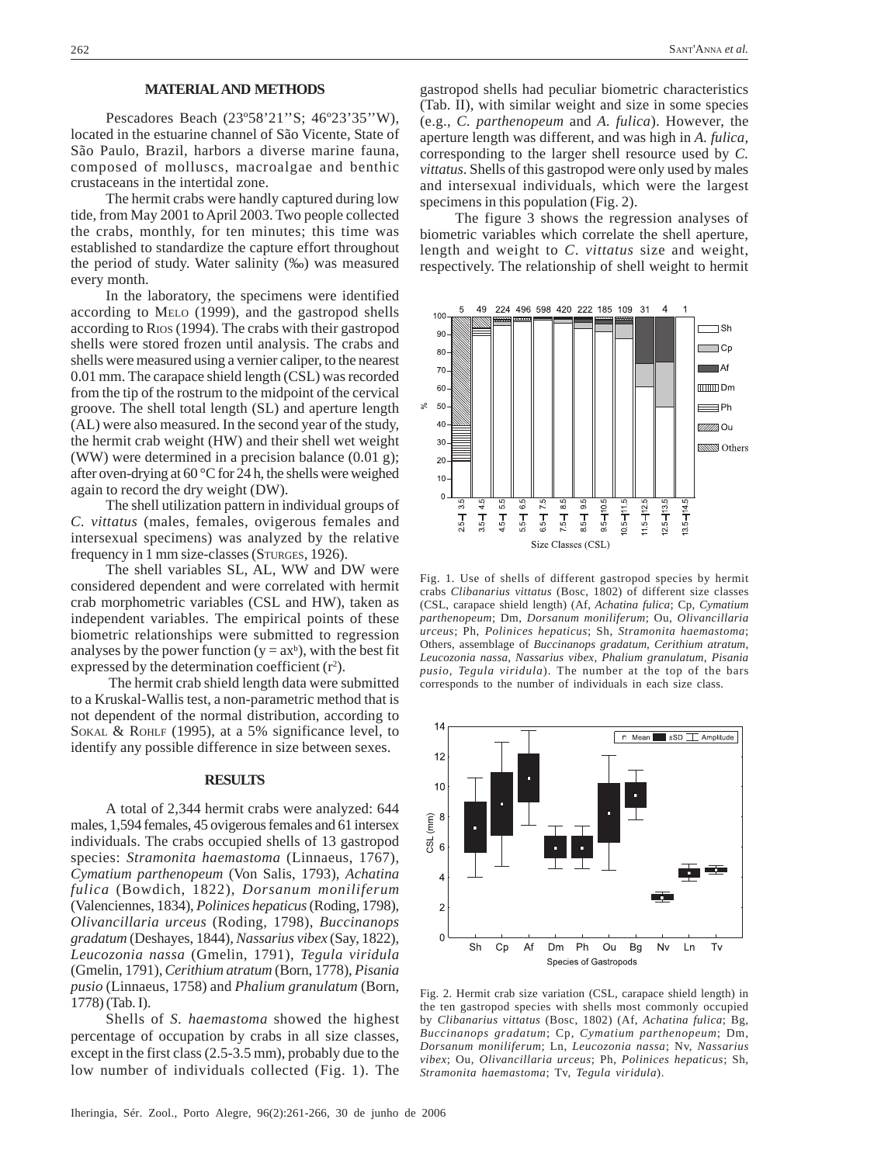### **MATERIAL AND METHODS**

Pescadores Beach (23º58'21''S; 46º23'35''W), located in the estuarine channel of São Vicente, State of São Paulo, Brazil, harbors a diverse marine fauna, composed of molluscs, macroalgae and benthic crustaceans in the intertidal zone.

The hermit crabs were handly captured during low tide, from May 2001 to April 2003. Two people collected the crabs, monthly, for ten minutes; this time was established to standardize the capture effort throughout the period of study. Water salinity (‰) was measured every month.

In the laboratory, the specimens were identified according to MELO (1999), and the gastropod shells according to RIOS (1994). The crabs with their gastropod shells were stored frozen until analysis. The crabs and shells were measured using a vernier caliper, to the nearest 0.01 mm. The carapace shield length (CSL) was recorded from the tip of the rostrum to the midpoint of the cervical groove. The shell total length (SL) and aperture length (AL) were also measured. In the second year of the study, the hermit crab weight (HW) and their shell wet weight (WW) were determined in a precision balance (0.01 g); after oven-drying at 60 °C for 24 h, the shells were weighed again to record the dry weight (DW).

The shell utilization pattern in individual groups of *C. vittatus* (males, females, ovigerous females and intersexual specimens) was analyzed by the relative frequency in 1 mm size-classes (STURGES, 1926).

The shell variables SL, AL, WW and DW were considered dependent and were correlated with hermit crab morphometric variables (CSL and HW), taken as independent variables. The empirical points of these biometric relationships were submitted to regression analyses by the power function ( $y = ax^b$ ), with the best fit expressed by the determination coefficient  $(r^2)$ .

 The hermit crab shield length data were submitted to a Kruskal-Wallis test, a non-parametric method that is not dependent of the normal distribution, according to SOKAL & ROHLF (1995), at a 5% significance level, to identify any possible difference in size between sexes.

## **RESULTS**

A total of 2,344 hermit crabs were analyzed: 644 males, 1,594 females, 45 ovigerous females and 61 intersex individuals. The crabs occupied shells of 13 gastropod species: *Stramonita haemastoma* (Linnaeus, 1767), *Cymatium parthenopeum* (Von Salis, 1793), *Achatina fulica* (Bowdich, 1822)*, Dorsanum moniliferum* (Valenciennes, 1834), *Polinices hepaticus* (Roding, 1798), *Olivancillaria urceus* (Roding, 1798), *Buccinanops gradatum* (Deshayes, 1844)*, Nassarius vibex* (Say, 1822), *Leucozonia nassa* (Gmelin, 1791), *Tegula viridula* (Gmelin, 1791), *Cerithium atratum* (Born, 1778), *Pisania pusio* (Linnaeus, 1758) and *Phalium granulatum* (Born, 1778) (Tab. I).

Shells of *S. haemastoma* showed the highest percentage of occupation by crabs in all size classes, except in the first class (2.5-3.5 mm), probably due to the low number of individuals collected (Fig. 1). The

gastropod shells had peculiar biometric characteristics (Tab. II), with similar weight and size in some species (e.g., *C. parthenopeum* and *A. fulica*). However, the aperture length was different, and was high in *A. fulica,* corresponding to the larger shell resource used by *C. vittatus*. Shells of this gastropod were only used by males and intersexual individuals, which were the largest specimens in this population (Fig. 2).

The figure 3 shows the regression analyses of biometric variables which correlate the shell aperture, length and weight to *C*. *vittatus* size and weight, respectively. The relationship of shell weight to hermit



Fig. 1. Use of shells of different gastropod species by hermit crabs *Clibanarius vittatus* (Bosc, 1802) of different size classes (CSL, carapace shield length) (Af, *Achatina fulica*; Cp, *Cymatium parthenopeum*; Dm, *Dorsanum moniliferum*; Ou, *Olivancillaria urceus*; Ph, *Polinices hepaticus*; Sh, *Stramonita haemastoma*; Others, assemblage of *Buccinanops gradatum*, *Cerithium atratum*, *Leucozonia nassa*, *Nassarius vibex*, *Phalium granulatum*, *Pisania pusio*, *Tegula viridula*). The number at the top of the bars corresponds to the number of individuals in each size class.



Fig. 2. Hermit crab size variation (CSL, carapace shield length) in the ten gastropod species with shells most commonly occupied by *Clibanarius vittatus* (Bosc, 1802) (Af, *Achatina fulica*; Bg, *Buccinanops gradatum*; Cp, *Cymatium parthenopeum*; Dm, *Dorsanum moniliferum*; Ln, *Leucozonia nassa*; Nv, *Nassarius vibex*; Ou, *Olivancillaria urceus*; Ph, *Polinices hepaticus*; Sh, *Stramonita haemastoma*; Tv, *Tegula viridula*).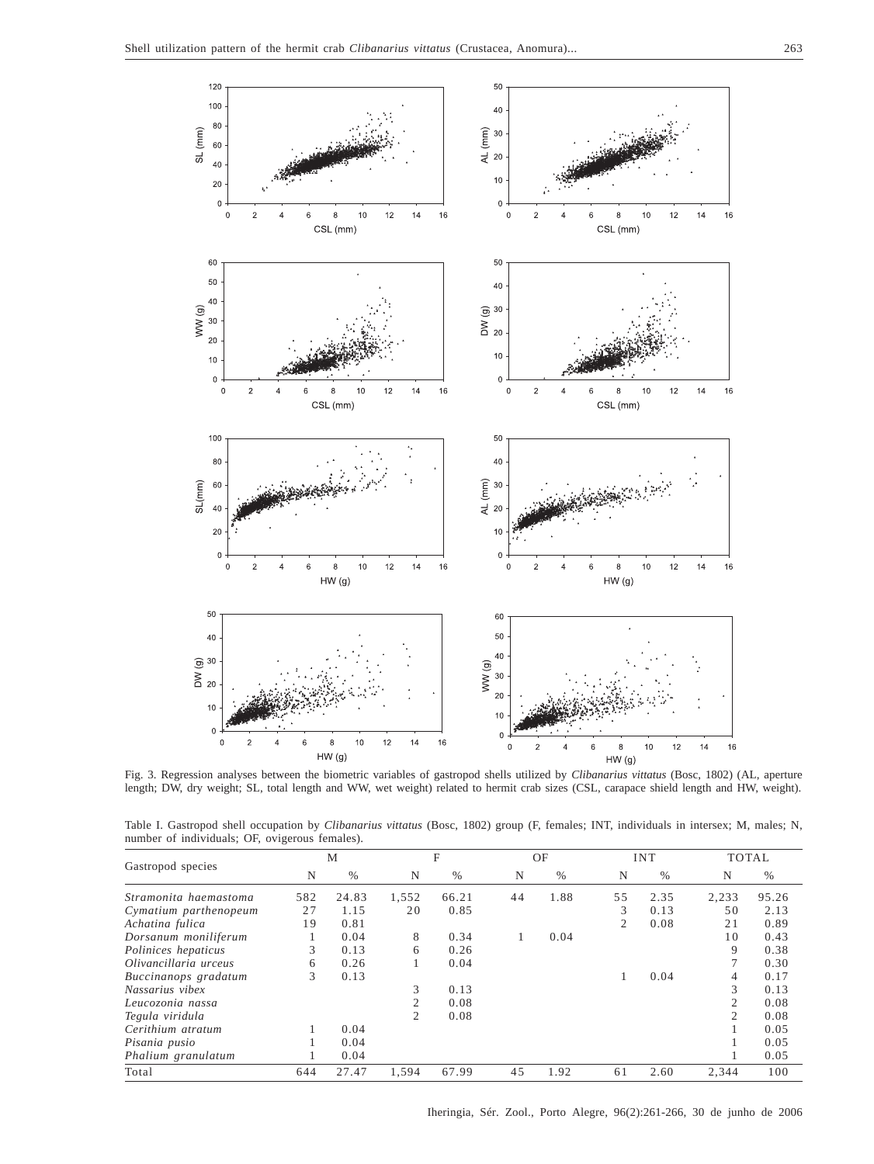

Fig. 3. Regression analyses between the biometric variables of gastropod shells utilized by *Clibanarius vittatus* (Bosc, 1802) (AL, aperture length; DW, dry weight; SL, total length and WW, wet weight) related to hermit crab sizes (CSL, carapace shield length and HW, weight).

| Table I. Gastropod shell occupation by Clibanarius vittatus (Bosc, 1802) group (F, females; INT, individuals in intersex; M, males; N, |  |  |  |  |  |  |
|----------------------------------------------------------------------------------------------------------------------------------------|--|--|--|--|--|--|
| number of individuals; OF, ovigerous females).                                                                                         |  |  |  |  |  |  |

|                       | M   |       | F              |       | OF |      | <b>INT</b> |      | <b>TOTAL</b>   |       |
|-----------------------|-----|-------|----------------|-------|----|------|------------|------|----------------|-------|
| Gastropod species     | N   | $\%$  | N              | $\%$  | N  | $\%$ | N          | $\%$ | N              | %     |
| Stramonita haemastoma | 582 | 24.83 | 1,552          | 66.21 | 44 | 1.88 | 55         | 2.35 | 2,233          | 95.26 |
| Cymatium parthenopeum | 27  | 1.15  | 20             | 0.85  |    |      | 3          | 0.13 | 50             | 2.13  |
| Achatina fulica       | 19  | 0.81  |                |       |    |      | 2          | 0.08 | 21             | 0.89  |
| Dorsanum moniliferum  |     | 0.04  | 8              | 0.34  |    | 0.04 |            |      | 10             | 0.43  |
| Polinices hepaticus   | 3   | 0.13  | 6              | 0.26  |    |      |            |      | 9              | 0.38  |
| Olivancillaria urceus | 6   | 0.26  |                | 0.04  |    |      |            |      | 7              | 0.30  |
| Buccinanops gradatum  | 3   | 0.13  |                |       |    |      |            | 0.04 | 4              | 0.17  |
| Nassarius vibex       |     |       | 3              | 0.13  |    |      |            |      | 3              | 0.13  |
| Leucozonia nassa      |     |       | 2              | 0.08  |    |      |            |      | $\overline{c}$ | 0.08  |
| Tegula viridula       |     |       | $\overline{c}$ | 0.08  |    |      |            |      | $\overline{2}$ | 0.08  |
| Cerithium atratum     |     | 0.04  |                |       |    |      |            |      |                | 0.05  |
| Pisania pusio         |     | 0.04  |                |       |    |      |            |      |                | 0.05  |
| Phalium granulatum    |     | 0.04  |                |       |    |      |            |      |                | 0.05  |
| Total                 | 644 | 27.47 | 1.594          | 67.99 | 45 | 1.92 | 61         | 2.60 | 2.344          | 100   |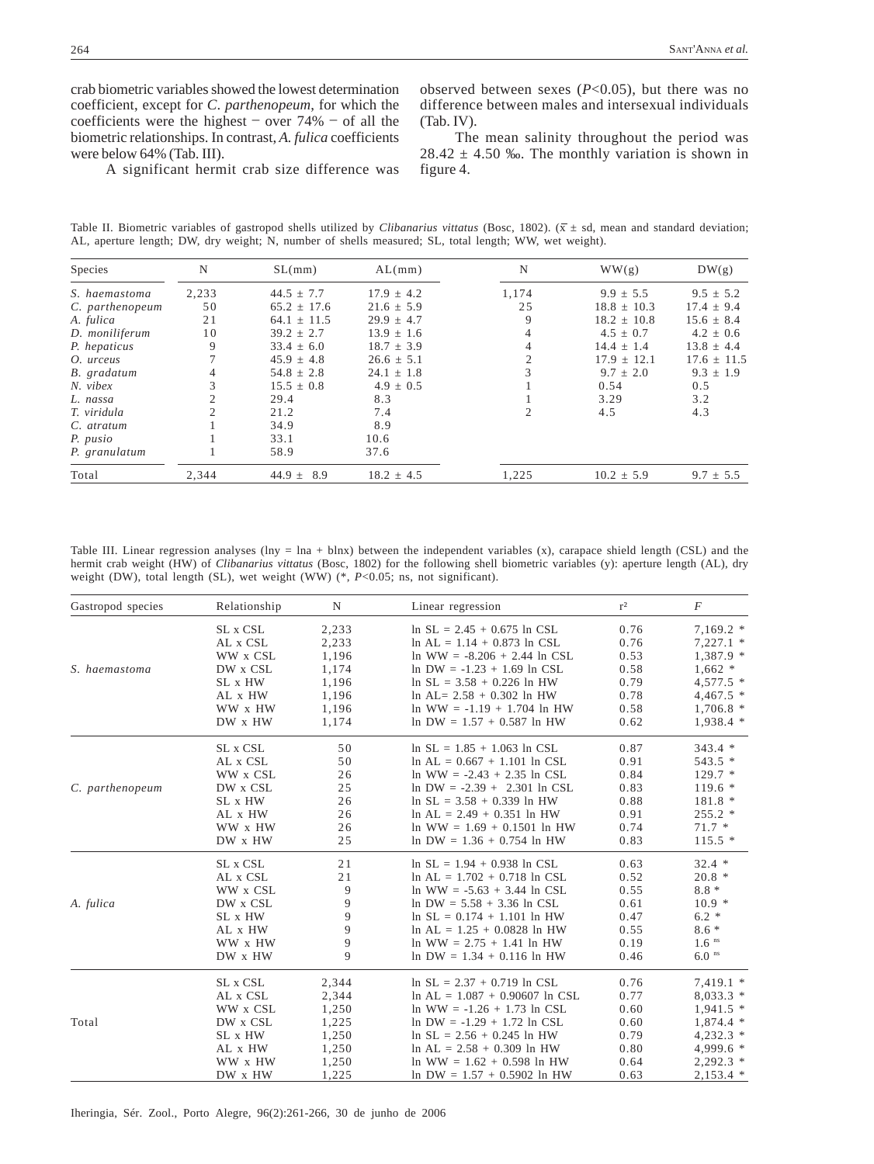crab biometric variables showed the lowest determination coefficient, except for *C*. *parthenopeum*, for which the coefficients were the highest  $-$  over 74%  $-$  of all the biometric relationships. In contrast, *A. fulica* coefficients were below 64% (Tab. III).

observed between sexes (*P*<0.05), but there was no difference between males and intersexual individuals (Tab. IV).

A significant hermit crab size difference was

The mean salinity throughout the period was  $28.42 \pm 4.50$  ‰. The monthly variation is shown in figure 4.

Table II. Biometric variables of gastropod shells utilized by *Clibanarius vittatus* (Bosc, 1802). ( $\bar{x} \pm$  sd, mean and standard deviation; AL, aperture length; DW, dry weight; N, number of shells measured; SL, total length; WW, wet weight).

| Species         | N              | SL(mm)            | AL(mm)         | N     | WW(g)           | DW(g)           |
|-----------------|----------------|-------------------|----------------|-------|-----------------|-----------------|
| S. haemastoma   | 2,233          | $44.5 \pm 7.7$    | $17.9 \pm 4.2$ | 1.174 | $9.9 \pm 5.5$   | $9.5 \pm 5.2$   |
| C. parthenopeum | 50             | $65.2 \pm 17.6$   | $21.6 \pm 5.9$ | 25    | $18.8 \pm 10.3$ | $17.4 \pm 9.4$  |
| A. fulica       | 21             | $64.1 \pm 11.5$   | $29.9 \pm 4.7$ | 9     | $18.2 \pm 10.8$ | $15.6 \pm 8.4$  |
| D. moniliferum  | 10             | $39.2 \pm 2.7$    | $13.9 \pm 1.6$ | 4     | $4.5 \pm 0.7$   | $4.2 \pm 0.6$   |
| P. hepaticus    | 9              | $33.4 \pm 6.0$    | $18.7 \pm 3.9$ |       | $14.4 \pm 1.4$  | $13.8 \pm 4.4$  |
| O. urceus       |                | $45.9 \pm 4.8$    | $26.6 \pm 5.1$ |       | $17.9 + 12.1$   | $17.6 \pm 11.5$ |
| B. gradatum     | 4              | $54.8 \pm 2.8$    | $24.1 \pm 1.8$ |       | $9.7 + 2.0$     | $9.3 \pm 1.9$   |
| $N.$ vibex      |                | $15.5 \pm 0.8$    | $4.9 \pm 0.5$  |       | 0.54            | 0.5             |
| L. nassa        |                | 29.4              | 8.3            |       | 3.29            | 3.2             |
| T. viridula     | $\mathfrak{D}$ | 21.2              | 7.4            |       | 4.5             | 4.3             |
| C. atratum      |                | 34.9              | 8.9            |       |                 |                 |
| P. pusio        |                | 33.1              | 10.6           |       |                 |                 |
| P. granulatum   |                | 58.9              | 37.6           |       |                 |                 |
| Total           | 2.344          | 44.9 $\pm$<br>8.9 | $18.2 \pm 4.5$ | 1.225 | $10.2 \pm 5.9$  | $9.7 \pm 5.5$   |

Table III. Linear regression analyses (lny = lna + blnx) between the independent variables (x), carapace shield length (CSL) and the hermit crab weight (HW) of *Clibanarius vittatus* (Bosc, 1802) for the following shell biometric variables (y): aperture length (AL), dry weight (DW), total length (SL), wet weight (WW) (\*, *P*<0.05; ns, not significant).

| Gastropod species | Relationship | N     | Linear regression                    | $r^2$ | $\boldsymbol{F}$    |
|-------------------|--------------|-------|--------------------------------------|-------|---------------------|
|                   | SL x CSL     | 2,233 | $\ln SL = 2.45 + 0.675 \ln CSL$      | 0.76  | $7,169.2*$          |
|                   | AL x CSL     | 2,233 | $\ln$ AL = 1.14 + 0.873 $\ln$ CSL    | 0.76  | $7,227.1*$          |
|                   | WW x CSL     | 1,196 | $\ln$ WW = -8.206 + 2.44 $\ln$ CSL   | 0.53  | $1,387.9$ *         |
| S. haemastoma     | DW x CSL     | 1,174 | $\ln$ DW = -1.23 + 1.69 $\ln$ CSL    | 0.58  | $1,662$ *           |
|                   | SL x HW      | 1,196 | $\ln SL = 3.58 + 0.226 \ln HW$       | 0.79  | $4,577.5$ *         |
|                   | AL x HW      | 1,196 | $\ln$ AL= 2.58 + 0.302 $\ln$ HW      | 0.78  | $4,467.5$ *         |
|                   | WW x HW      | 1,196 | $\ln$ WW = -1.19 + 1.704 $\ln$ HW    | 0.58  | $1,706.8*$          |
|                   | DW x HW      | 1,174 | $\ln$ DW = 1.57 + 0.587 $\ln$ HW     | 0.62  | $1,938.4$ *         |
|                   | SL x CSL     | 50    | $\ln SL = 1.85 + 1.063 \ln CSL$      | 0.87  | $343.4*$            |
|                   | AL x CSL     | 50    | $\ln$ AL = 0.667 + 1.101 $\ln$ CSL   | 0.91  | $543.5*$            |
|                   | WW x CSL     | 26    | $\ln$ WW = -2.43 + 2.35 $\ln$ CSL    | 0.84  | $129.7*$            |
| C. parthenopeum   | DW x CSL     | 25    | $\ln$ DW = -2.39 + 2.301 ln CSL      | 0.83  | $119.6*$            |
|                   | SL x HW      | 26    | $\ln SL = 3.58 + 0.339 \ln HW$       | 0.88  | $181.8*$            |
|                   | AL x HW      | 26    | $\ln$ AL = 2.49 + 0.351 $\ln$ HW     | 0.91  | $255.2*$            |
|                   | WW x HW      | 26    | $\ln$ WW = 1.69 + 0.1501 $\ln$ HW    | 0.74  | $71.7*$             |
|                   | DW x HW      | 25    | $\ln$ DW = 1.36 + 0.754 $\ln$ HW     | 0.83  | $115.5*$            |
|                   | SL x CSL     | 21    | $\ln SL = 1.94 + 0.938 \ln CSL$      | 0.63  | $32.4*$             |
|                   | AL x CSL     | 21    | $ln AL = 1.702 + 0.718 ln CSL$       | 0.52  | $20.8*$             |
|                   | WW x CSL     | 9     | $\ln$ WW = -5.63 + 3.44 $\ln$ CSL    | 0.55  | $8.8 *$             |
| A. fulica         | DW x CSL     | 9     | $\ln$ DW = 5.58 + 3.36 $\ln$ CSL     | 0.61  | $10.9*$             |
|                   | SL x HW      | 9     | $\ln SL = 0.174 + 1.101 \ln HW$      | 0.47  | $6.2 *$             |
|                   | AL x HW      | 9     | $\ln$ AL = 1.25 + 0.0828 $\ln$ HW    | 0.55  | $8.6*$              |
|                   | WW x HW      | 9     | $\ln$ WW = 2.75 + 1.41 $\ln$ HW      | 0.19  | $1.6$ <sup>ns</sup> |
|                   | DW x HW      | 9     | $\ln$ DW = 1.34 + 0.116 $\ln$ HW     | 0.46  | $6.0$ <sup>ns</sup> |
|                   | SL x CSL     | 2,344 | $\ln SL = 2.37 + 0.719 \ln CSL$      | 0.76  | $7,419.1*$          |
|                   | AL x CSL     | 2,344 | $\ln$ AL = 1.087 + 0.90607 $\ln$ CSL | 0.77  | $8,033.3*$          |
|                   | WW x CSL     | 1,250 | $\ln$ WW = -1.26 + 1.73 $\ln$ CSL    | 0.60  | $1,941.5$ *         |
| Total             | DW x CSL     | 1,225 | $\ln$ DW = -1.29 + 1.72 $\ln$ CSL    | 0.60  | $1,874.4*$          |
|                   | SL x HW      | 1,250 | $\ln SL = 2.56 + 0.245 \ln HW$       | 0.79  | $4,232.3$ *         |
|                   | AL x HW      | 1,250 | $\ln$ AL = 2.58 + 0.309 $\ln$ HW     | 0.80  | 4,999.6 *           |
|                   | WW x HW      | 1,250 | $\ln$ WW = 1.62 + 0.598 $\ln$ HW     | 0.64  | $2,292.3$ *         |
|                   | DW x HW      | 1,225 | $\ln$ DW = 1.57 + 0.5902 $\ln$ HW    | 0.63  | $2,153.4*$          |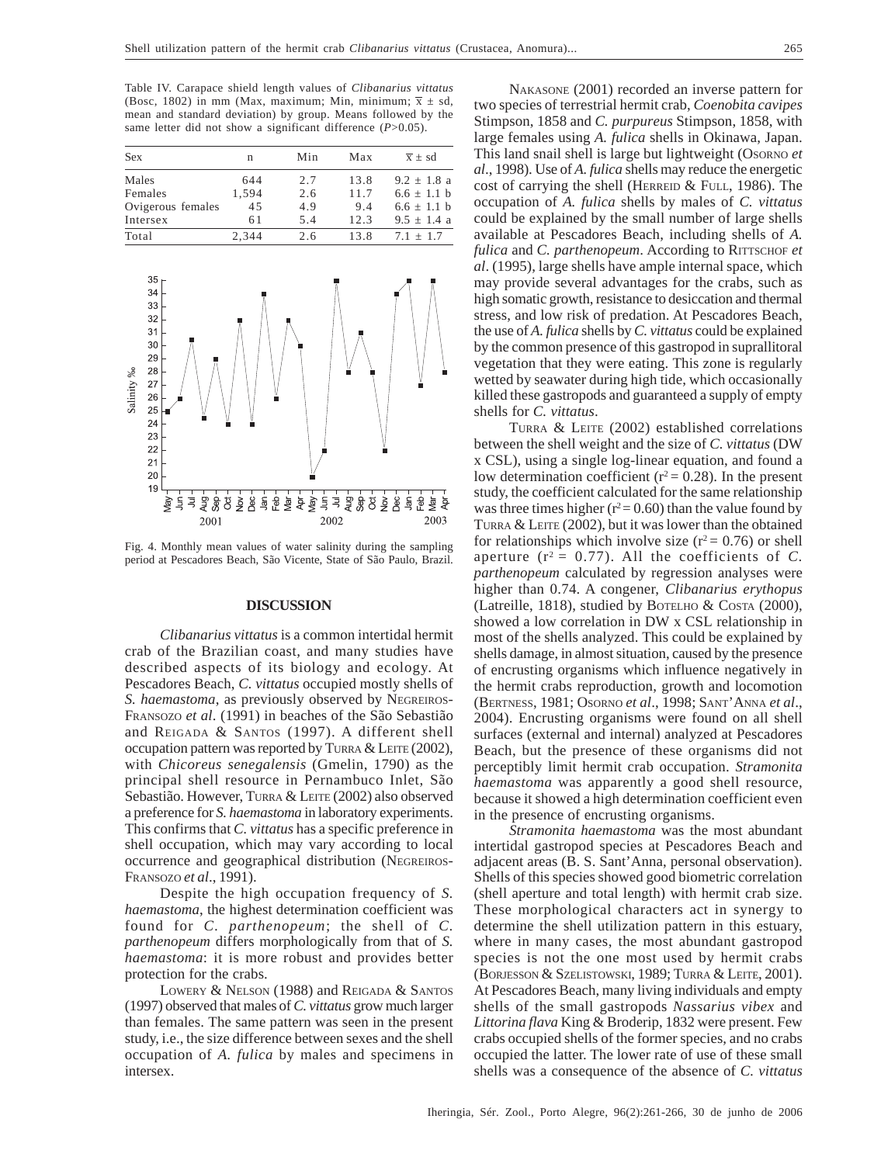Table IV. Carapace shield length values of *Clibanarius vittatus* (Bosc, 1802) in mm (Max, maximum; Min, minimum;  $\overline{x} \pm sd$ , mean and standard deviation) by group. Means followed by the same letter did not show a significant difference (*P*>0.05).

| <b>Sex</b>        | n     | Min | Max  | $\overline{x}$ + sd |
|-------------------|-------|-----|------|---------------------|
| Males             | 644   | 2.7 | 13.8 | $9.2 + 1.8$ a       |
| Females           | 1.594 | 2.6 | 11.7 | $6.6 \pm 1.1$ b     |
| Ovigerous females | 45    | 4.9 | 9.4  | $6.6 \pm 1.1$ b     |
| Intersex          | 61    | 5.4 | 12.3 | $9.5 \pm 1.4$ a     |
| Total             | 2,344 | 2.6 | 13.8 | $7.1 + 1.7$         |



Fig. 4. Monthly mean values of water salinity during the sampling period at Pescadores Beach, São Vicente, State of São Paulo, Brazil.

### **DISCUSSION**

*Clibanarius vittatus* is a common intertidal hermit crab of the Brazilian coast, and many studies have described aspects of its biology and ecology. At Pescadores Beach, *C. vittatus* occupied mostly shells of *S. haemastoma*, as previously observed by NEGREIROS-FRANSOZO *et al*. (1991) in beaches of the São Sebastião and REIGADA & SANTOS (1997). A different shell occupation pattern was reported by TURRA & LEITE (2002), with *Chicoreus senegalensis* (Gmelin, 1790) as the principal shell resource in Pernambuco Inlet, São Sebastião. However, TURRA & LEITE (2002) also observed a preference for *S. haemastoma* in laboratory experiments. This confirms that *C. vittatus* has a specific preference in shell occupation, which may vary according to local occurrence and geographical distribution (NEGREIROS-FRANSOZO *et al*., 1991).

Despite the high occupation frequency of *S. haemastoma*, the highest determination coefficient was found for *C. parthenopeum*; the shell of *C. parthenopeum* differs morphologically from that of *S. haemastoma*: it is more robust and provides better protection for the crabs.

LOWERY & NELSON (1988) and REIGADA & SANTOS (1997) observed that males of *C. vittatus* grow much larger than females. The same pattern was seen in the present study, i.e., the size difference between sexes and the shell occupation of *A. fulica* by males and specimens in intersex.

NAKASONE (2001) recorded an inverse pattern for two species of terrestrial hermit crab, *Coenobita cavipes* Stimpson, 1858 and *C. purpureus* Stimpson, 1858, with large females using *A. fulica* shells in Okinawa, Japan. This land snail shell is large but lightweight (OSORNO *et al*., 1998). Use of *A. fulica* shells may reduce the energetic cost of carrying the shell (HERREID & FULL, 1986). The occupation of *A. fulica* shells by males of *C. vittatus* could be explained by the small number of large shells available at Pescadores Beach, including shells of *A. fulica* and *C. parthenopeum*. According to RITTSCHOF *et al*. (1995), large shells have ample internal space, which may provide several advantages for the crabs, such as high somatic growth, resistance to desiccation and thermal stress, and low risk of predation. At Pescadores Beach, the use of *A. fulica* shells by *C. vittatus* could be explained by the common presence of this gastropod in suprallitoral vegetation that they were eating. This zone is regularly wetted by seawater during high tide, which occasionally killed these gastropods and guaranteed a supply of empty shells for *C. vittatus*.

TURRA & LEITE (2002) established correlations between the shell weight and the size of *C. vittatus* (DW x CSL), using a single log-linear equation, and found a low determination coefficient ( $r^2$  = 0.28). In the present study, the coefficient calculated for the same relationship was three times higher ( $r^2$  = 0.60) than the value found by TURRA & LEITE (2002), but it was lower than the obtained for relationships which involve size  $(r^2 = 0.76)$  or shell aperture  $(r^2 = 0.77)$ . All the coefficients of C. *parthenopeum* calculated by regression analyses were higher than 0.74. A congener, *Clibanarius erythopus* (Latreille, 1818), studied by BOTELHO & COSTA (2000), showed a low correlation in DW x CSL relationship in most of the shells analyzed. This could be explained by shells damage, in almost situation, caused by the presence of encrusting organisms which influence negatively in the hermit crabs reproduction, growth and locomotion (BERTNESS, 1981; OSORNO *et al*., 1998; SANT'ANNA *et al*., 2004). Encrusting organisms were found on all shell surfaces (external and internal) analyzed at Pescadores Beach, but the presence of these organisms did not perceptibly limit hermit crab occupation. *Stramonita haemastoma* was apparently a good shell resource, because it showed a high determination coefficient even in the presence of encrusting organisms.

*Stramonita haemastoma* was the most abundant intertidal gastropod species at Pescadores Beach and adjacent areas (B. S. Sant'Anna, personal observation). Shells of this species showed good biometric correlation (shell aperture and total length) with hermit crab size. These morphological characters act in synergy to determine the shell utilization pattern in this estuary, where in many cases, the most abundant gastropod species is not the one most used by hermit crabs (BORJESSON & SZELISTOWSKI, 1989; TURRA & LEITE, 2001). At Pescadores Beach, many living individuals and empty shells of the small gastropods *Nassarius vibex* and *Littorina flava* King & Broderip, 1832 were present. Few crabs occupied shells of the former species, and no crabs occupied the latter. The lower rate of use of these small shells was a consequence of the absence of *C. vittatus*